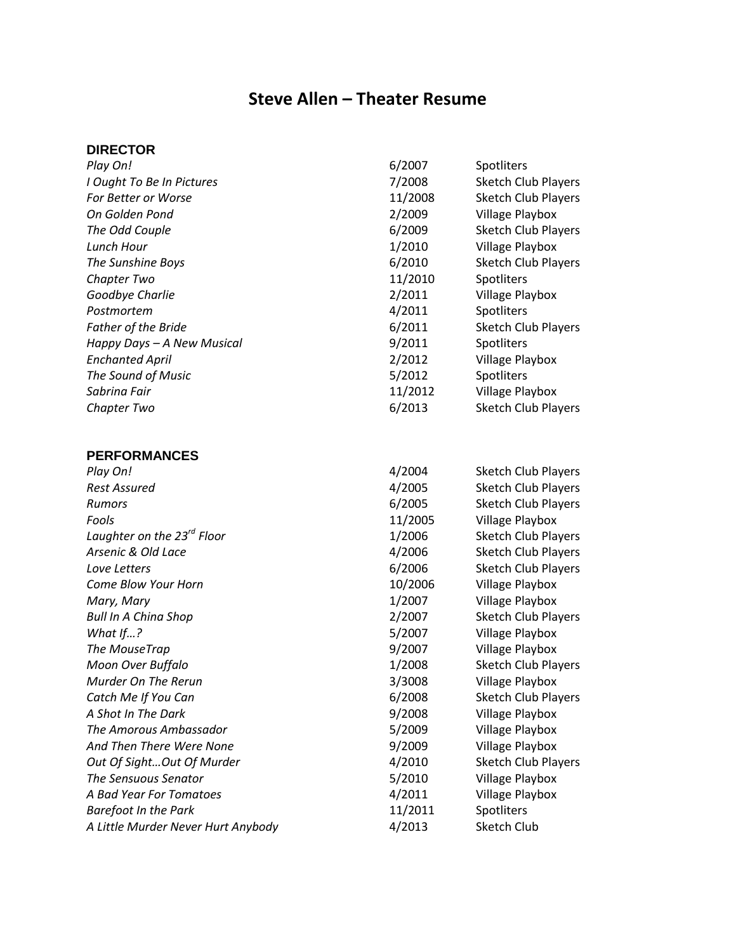# **Steve Allen – Theater Resume**

# **DIRECTOR**

| 6/2007  | Spotliters                 |
|---------|----------------------------|
| 7/2008  | <b>Sketch Club Players</b> |
| 11/2008 | <b>Sketch Club Players</b> |
| 2/2009  | Village Playbox            |
| 6/2009  | <b>Sketch Club Players</b> |
| 1/2010  | Village Playbox            |
| 6/2010  | <b>Sketch Club Players</b> |
| 11/2010 | Spotliters                 |
| 2/2011  | Village Playbox            |
| 4/2011  | Spotliters                 |
| 6/2011  | <b>Sketch Club Players</b> |
| 9/2011  | Spotliters                 |
| 2/2012  | Village Playbox            |
| 5/2012  | Spotliters                 |
| 11/2012 | <b>Village Playbox</b>     |
| 6/2013  | <b>Sketch Club Players</b> |
|         |                            |
|         |                            |
|         |                            |
| 4/2004  | <b>Sketch Club Players</b> |
| 4/2005  | <b>Sketch Club Players</b> |
| 6/2005  | <b>Sketch Club Players</b> |
| 11/2005 | Village Playbox            |
| 1/2006  | <b>Sketch Club Players</b> |
| 4/2006  | <b>Sketch Club Players</b> |
| 6/2006  | <b>Sketch Club Players</b> |
| 10/2006 | Village Playbox            |
| 1/2007  | Village Playbox            |
| 2/2007  | <b>Sketch Club Players</b> |
| 5/2007  | Village Playbox            |
| 9/2007  | Village Playbox            |
| 1/2008  | <b>Sketch Club Players</b> |
| 3/3008  | <b>Village Playbox</b>     |
| 6/2008  | <b>Sketch Club Players</b> |
| 9/2008  | Village Playbox            |
| 5/2009  | Village Playbox            |
| 9/2009  | Village Playbox            |
| 4/2010  | <b>Sketch Club Players</b> |
| 5/2010  | Village Playbox            |
| 4/2011  | Village Playbox            |
| 11/2011 | Spotliters                 |
| 4/2013  | <b>Sketch Club</b>         |
|         |                            |